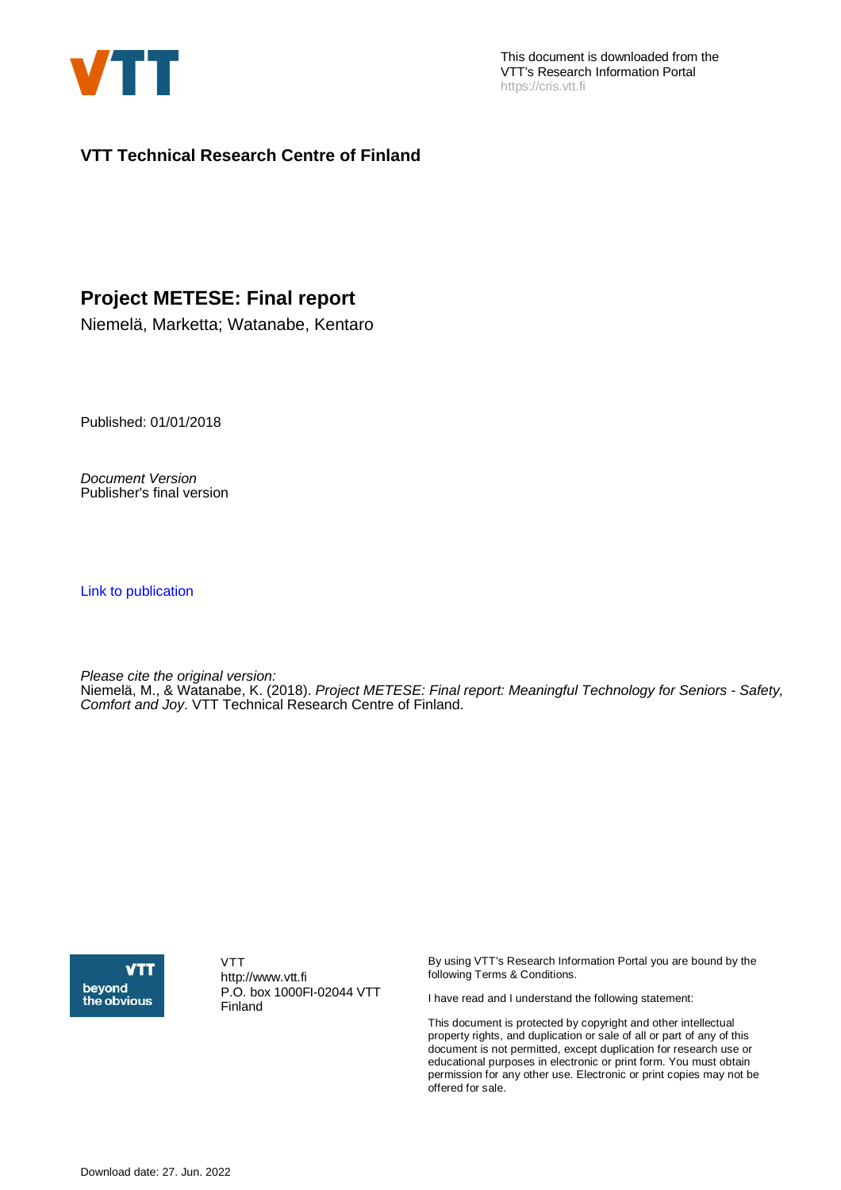

This document is downloaded from the VTT's Research Information Portal https://cris.vtt.fi

**VTT Technical Research Centre of Finland**

#### **Project METESE: Final report**

Niemelä, Marketta; Watanabe, Kentaro

Published: 01/01/2018

Document Version Publisher's final version

[Link to publication](https://cris.vtt.fi/en/publications/e38ce550-993a-498d-9a6f-58e60d57635d)

Please cite the original version: Niemelä, M., & Watanabe, K. (2018). Project METESE: Final report: Meaningful Technology for Seniors - Safety, Comfort and Joy. VTT Technical Research Centre of Finland.



VTT http://www.vtt.fi P.O. box 1000FI-02044 VTT Finland

By using VTT's Research Information Portal you are bound by the following Terms & Conditions.

I have read and I understand the following statement:

This document is protected by copyright and other intellectual property rights, and duplication or sale of all or part of any of this document is not permitted, except duplication for research use or educational purposes in electronic or print form. You must obtain permission for any other use. Electronic or print copies may not be offered for sale.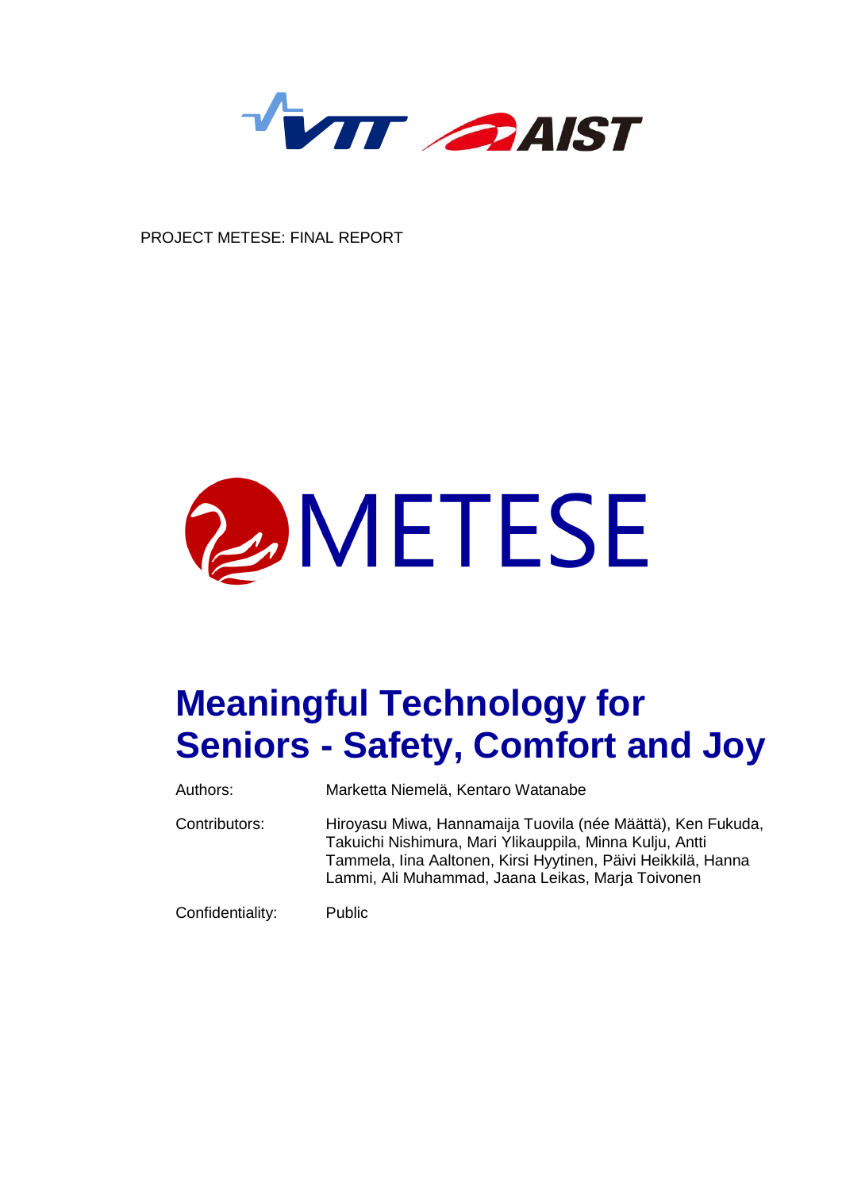

PROJECT METESE: FINAL REPORT



# **Meaningful Technology for Seniors - Safety, Comfort and Joy**

| Authors:         | Marketta Niemelä, Kentaro Watanabe                                                                                                                                                                                                            |
|------------------|-----------------------------------------------------------------------------------------------------------------------------------------------------------------------------------------------------------------------------------------------|
| Contributors:    | Hiroyasu Miwa, Hannamaija Tuovila (née Määttä), Ken Fukuda,<br>Takuichi Nishimura, Mari Ylikauppila, Minna Kulju, Antti<br>Tammela, Iina Aaltonen, Kirsi Hyytinen, Päivi Heikkilä, Hanna<br>Lammi, Ali Muhammad, Jaana Leikas, Marja Toivonen |
| Confidentiality: | <b>Public</b>                                                                                                                                                                                                                                 |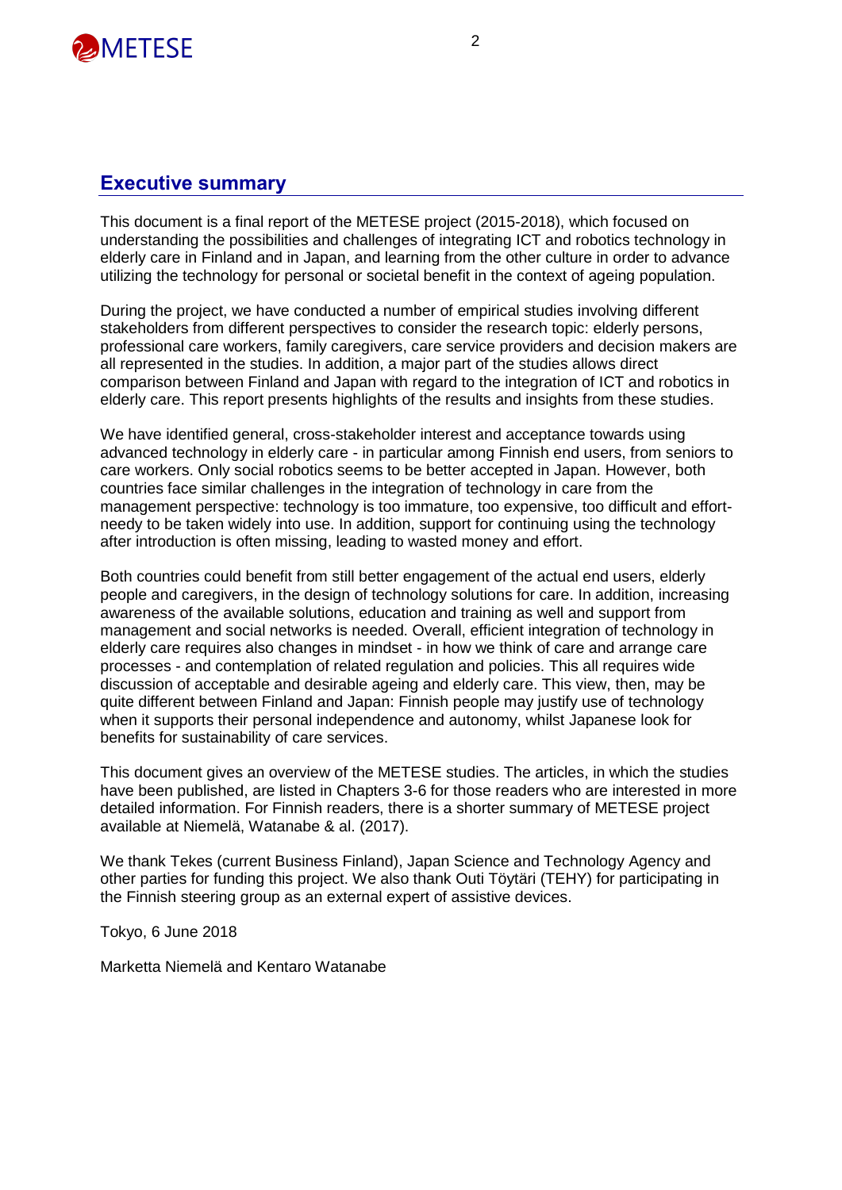

#### **Executive summary**

This document is a final report of the METESE project (2015-2018), which focused on understanding the possibilities and challenges of integrating ICT and robotics technology in elderly care in Finland and in Japan, and learning from the other culture in order to advance utilizing the technology for personal or societal benefit in the context of ageing population.

During the project, we have conducted a number of empirical studies involving different stakeholders from different perspectives to consider the research topic: elderly persons, professional care workers, family caregivers, care service providers and decision makers are all represented in the studies. In addition, a major part of the studies allows direct comparison between Finland and Japan with regard to the integration of ICT and robotics in elderly care. This report presents highlights of the results and insights from these studies.

We have identified general, cross-stakeholder interest and acceptance towards using advanced technology in elderly care - in particular among Finnish end users, from seniors to care workers. Only social robotics seems to be better accepted in Japan. However, both countries face similar challenges in the integration of technology in care from the management perspective: technology is too immature, too expensive, too difficult and effortneedy to be taken widely into use. In addition, support for continuing using the technology after introduction is often missing, leading to wasted money and effort.

Both countries could benefit from still better engagement of the actual end users, elderly people and caregivers, in the design of technology solutions for care. In addition, increasing awareness of the available solutions, education and training as well and support from management and social networks is needed. Overall, efficient integration of technology in elderly care requires also changes in mindset - in how we think of care and arrange care processes - and contemplation of related regulation and policies. This all requires wide discussion of acceptable and desirable ageing and elderly care. This view, then, may be quite different between Finland and Japan: Finnish people may justify use of technology when it supports their personal independence and autonomy, whilst Japanese look for benefits for sustainability of care services.

This document gives an overview of the METESE studies. The articles, in which the studies have been published, are listed in Chapters 3-6 for those readers who are interested in more detailed information. For Finnish readers, there is a shorter summary of METESE project available at Niemelä, Watanabe & al. (2017).

We thank Tekes (current Business Finland), Japan Science and Technology Agency and other parties for funding this project. We also thank Outi Töytäri (TEHY) for participating in the Finnish steering group as an external expert of assistive devices.

Tokyo, 6 June 2018

Marketta Niemelä and Kentaro Watanabe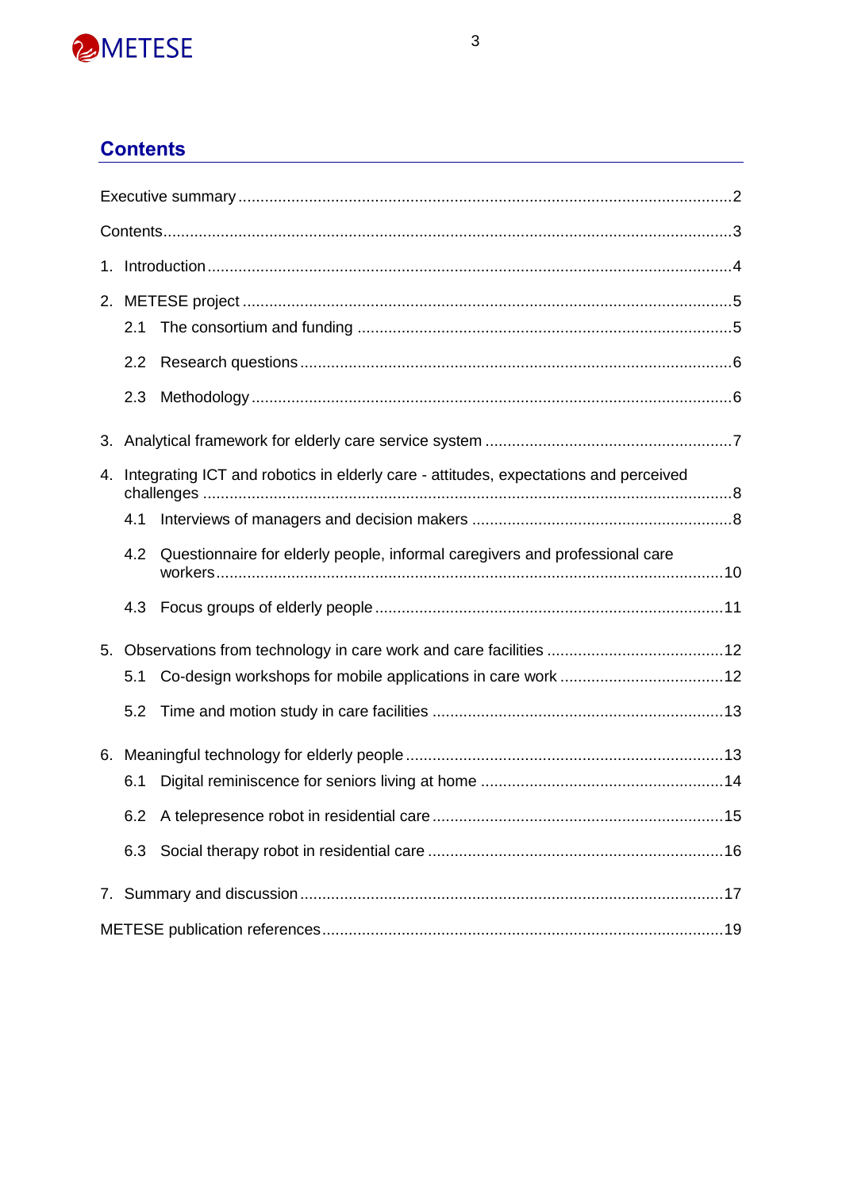

## **Contents**

|    | 2.1 |                                                                                      |
|----|-----|--------------------------------------------------------------------------------------|
|    | 2.2 |                                                                                      |
|    | 2.3 |                                                                                      |
|    |     |                                                                                      |
| 4. |     | Integrating ICT and robotics in elderly care - attitudes, expectations and perceived |
|    | 4.1 |                                                                                      |
|    | 4.2 | Questionnaire for elderly people, informal caregivers and professional care          |
|    | 4.3 |                                                                                      |
| 5. |     |                                                                                      |
|    | 5.1 |                                                                                      |
|    | 5.2 |                                                                                      |
|    |     |                                                                                      |
|    | 6.1 |                                                                                      |
|    |     |                                                                                      |
|    | 6.3 |                                                                                      |
|    |     |                                                                                      |
|    |     |                                                                                      |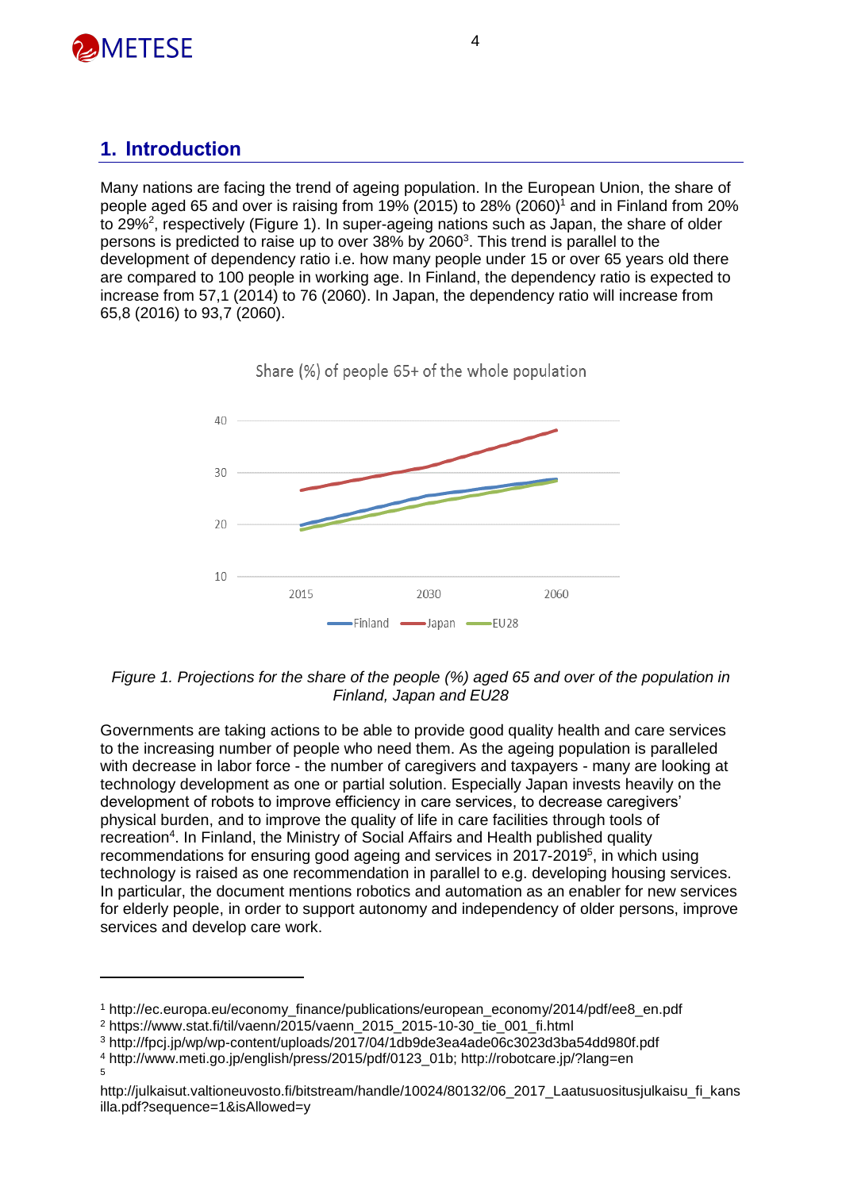

#### **1. Introduction**

Many nations are facing the trend of ageing population. In the European Union, the share of people aged 65 and over is raising from 19% (2015) to  $28\%$  (2060)<sup>1</sup> and in Finland from 20% to 29%<sup>2</sup>, respectively (Figure 1). In super-ageing nations such as Japan, the share of older persons is predicted to raise up to over 38% by 2060<sup>3</sup>. This trend is parallel to the development of dependency ratio i.e. how many people under 15 or over 65 years old there are compared to 100 people in working age. In Finland, the dependency ratio is expected to increase from 57,1 (2014) to 76 (2060). In Japan, the dependency ratio will increase from 65,8 (2016) to 93,7 (2060).



Share (%) of people 65+ of the whole population

*Figure 1. Projections for the share of the people (%) aged 65 and over of the population in Finland, Japan and EU28*

Governments are taking actions to be able to provide good quality health and care services to the increasing number of people who need them. As the ageing population is paralleled with decrease in labor force - the number of caregivers and taxpayers - many are looking at technology development as one or partial solution. Especially Japan invests heavily on the development of robots to improve efficiency in care services, to decrease caregivers' physical burden, and to improve the quality of life in care facilities through tools of recreation<sup>4</sup>. In Finland, the Ministry of Social Affairs and Health published quality recommendations for ensuring good ageing and services in 2017-2019<sup>5</sup>, in which using technology is raised as one recommendation in parallel to e.g. developing housing services. In particular, the document mentions robotics and automation as an enabler for new services for elderly people, in order to support autonomy and independency of older persons, improve services and develop care work.

<sup>1</sup> http://ec.europa.eu/economy\_finance/publications/european\_economy/2014/pdf/ee8\_en.pdf

<sup>2</sup> https://www.stat.fi/til/vaenn/2015/vaenn\_2015\_2015-10-30\_tie\_001\_fi.html

<sup>3</sup> http://fpcj.jp/wp/wp-content/uploads/2017/04/1db9de3ea4ade06c3023d3ba54dd980f.pdf

<sup>4</sup> http://www.meti.go.jp/english/press/2015/pdf/0123\_01b; http://robotcare.jp/?lang=en 5

http://julkaisut.valtioneuvosto.fi/bitstream/handle/10024/80132/06\_2017\_Laatusuositusjulkaisu\_fi\_kans illa.pdf?sequence=1&isAllowed=y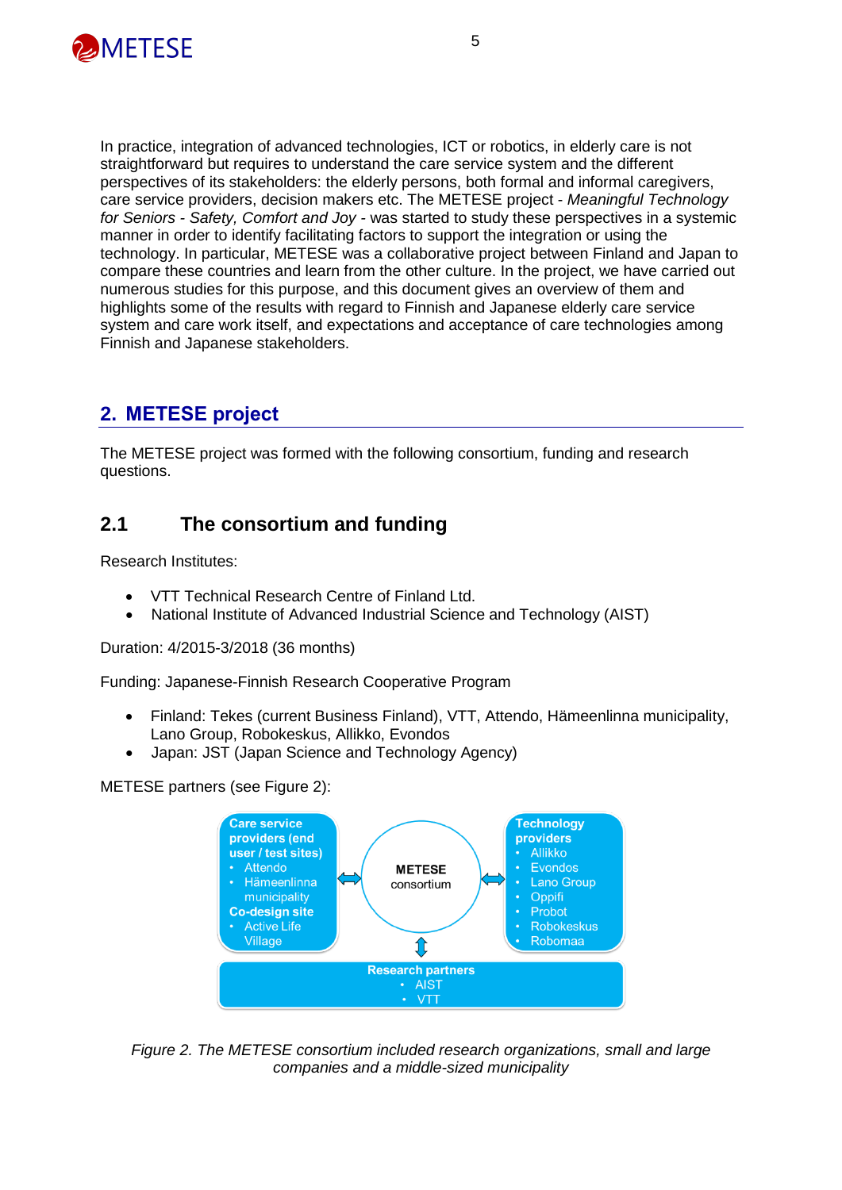

In practice, integration of advanced technologies, ICT or robotics, in elderly care is not straightforward but requires to understand the care service system and the different perspectives of its stakeholders: the elderly persons, both formal and informal caregivers, care service providers, decision makers etc. The METESE project - *Meaningful Technology for Seniors - Safety, Comfort and Joy -* was started to study these perspectives in a systemic manner in order to identify facilitating factors to support the integration or using the technology. In particular, METESE was a collaborative project between Finland and Japan to compare these countries and learn from the other culture. In the project, we have carried out numerous studies for this purpose, and this document gives an overview of them and highlights some of the results with regard to Finnish and Japanese elderly care service system and care work itself, and expectations and acceptance of care technologies among Finnish and Japanese stakeholders.

### **2. METESE project**

The METESE project was formed with the following consortium, funding and research questions.

#### **2.1 The consortium and funding**

Research Institutes:

- VTT Technical Research Centre of Finland Ltd.
- National Institute of Advanced Industrial Science and Technology (AIST)

Duration: 4/2015-3/2018 (36 months)

Funding: Japanese-Finnish Research Cooperative Program

- Finland: Tekes (current Business Finland), VTT, Attendo, Hämeenlinna municipality, Lano Group, Robokeskus, Allikko, Evondos
- Japan: JST (Japan Science and Technology Agency)

METESE partners (see Figure 2):



*Figure 2. The METESE consortium included research organizations, small and large companies and a middle-sized municipality*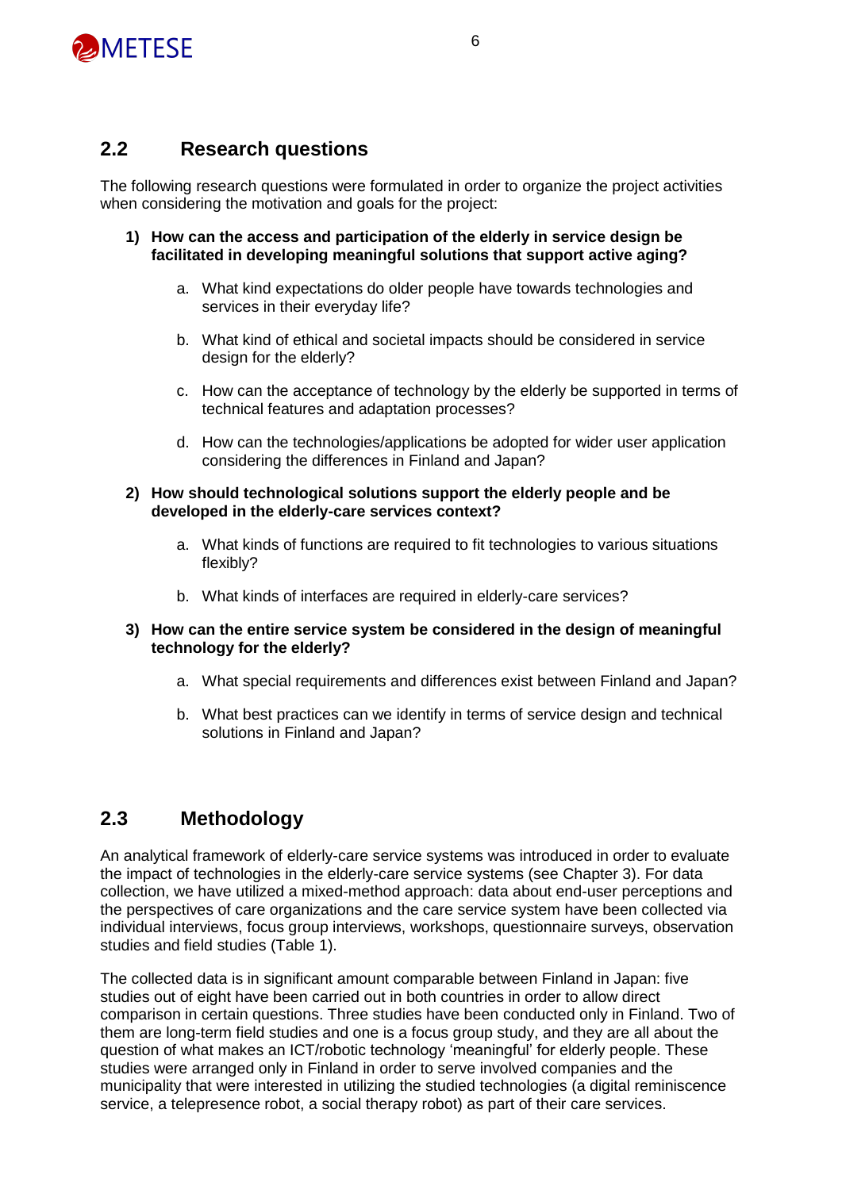

#### **2.2 Research questions**

The following research questions were formulated in order to organize the project activities when considering the motivation and goals for the project:

- **1) How can the access and participation of the elderly in service design be facilitated in developing meaningful solutions that support active aging?**
	- a. What kind expectations do older people have towards technologies and services in their everyday life?
	- b. What kind of ethical and societal impacts should be considered in service design for the elderly?
	- c. How can the acceptance of technology by the elderly be supported in terms of technical features and adaptation processes?
	- d. How can the technologies/applications be adopted for wider user application considering the differences in Finland and Japan?
- **2) How should technological solutions support the elderly people and be developed in the elderly-care services context?**
	- a. What kinds of functions are required to fit technologies to various situations flexibly?
	- b. What kinds of interfaces are required in elderly-care services?
- **3) How can the entire service system be considered in the design of meaningful technology for the elderly?**
	- a. What special requirements and differences exist between Finland and Japan?
	- b. What best practices can we identify in terms of service design and technical solutions in Finland and Japan?

#### **2.3 Methodology**

An analytical framework of elderly-care service systems was introduced in order to evaluate the impact of technologies in the elderly-care service systems (see Chapter 3). For data collection, we have utilized a mixed-method approach: data about end-user perceptions and the perspectives of care organizations and the care service system have been collected via individual interviews, focus group interviews, workshops, questionnaire surveys, observation studies and field studies (Table 1).

The collected data is in significant amount comparable between Finland in Japan: five studies out of eight have been carried out in both countries in order to allow direct comparison in certain questions. Three studies have been conducted only in Finland. Two of them are long-term field studies and one is a focus group study, and they are all about the question of what makes an ICT/robotic technology 'meaningful' for elderly people. These studies were arranged only in Finland in order to serve involved companies and the municipality that were interested in utilizing the studied technologies (a digital reminiscence service, a telepresence robot, a social therapy robot) as part of their care services.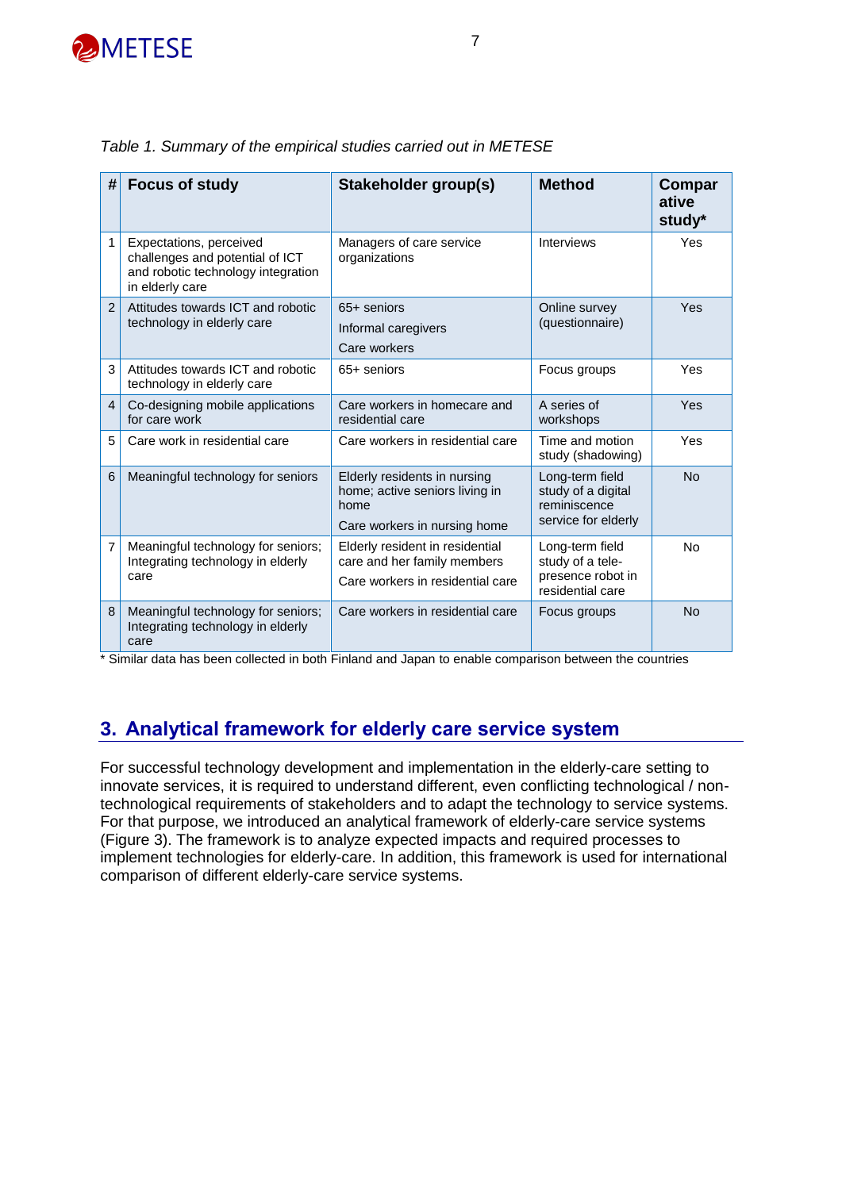

| #              | <b>Focus of study</b>                                                                                               | <b>Stakeholder group(s)</b>                                                                            | <b>Method</b>                                                                | Compar<br>ative<br>study* |
|----------------|---------------------------------------------------------------------------------------------------------------------|--------------------------------------------------------------------------------------------------------|------------------------------------------------------------------------------|---------------------------|
| 1              | Expectations, perceived<br>challenges and potential of ICT<br>and robotic technology integration<br>in elderly care | Managers of care service<br>organizations                                                              | <b>Interviews</b>                                                            | Yes                       |
| $\overline{2}$ | Attitudes towards ICT and robotic<br>technology in elderly care                                                     | 65+ seniors<br>Informal caregivers<br>Care workers                                                     | Online survey<br>(questionnaire)                                             | Yes                       |
| 3              | Attitudes towards ICT and robotic<br>technology in elderly care                                                     | 65+ seniors                                                                                            | Focus groups                                                                 | Yes                       |
| $\overline{4}$ | Co-designing mobile applications<br>for care work                                                                   | Care workers in homecare and<br>residential care                                                       | A series of<br>workshops                                                     | Yes                       |
| 5              | Care work in residential care                                                                                       | Care workers in residential care                                                                       | Time and motion<br>study (shadowing)                                         | Yes                       |
| 6              | Meaningful technology for seniors                                                                                   | Elderly residents in nursing<br>home; active seniors living in<br>home<br>Care workers in nursing home | Long-term field<br>study of a digital<br>reminiscence<br>service for elderly | <b>No</b>                 |
| 7              | Meaningful technology for seniors;<br>Integrating technology in elderly<br>care                                     | Elderly resident in residential<br>care and her family members<br>Care workers in residential care     | Long-term field<br>study of a tele-<br>presence robot in<br>residential care | No                        |
| 8              | Meaningful technology for seniors;<br>Integrating technology in elderly<br>care                                     | Care workers in residential care                                                                       | Focus groups                                                                 | No                        |

|  |  |  |  | Table 1. Summary of the empirical studies carried out in METESE |  |  |
|--|--|--|--|-----------------------------------------------------------------|--|--|
|--|--|--|--|-----------------------------------------------------------------|--|--|

\* Similar data has been collected in both Finland and Japan to enable comparison between the countries

#### **3. Analytical framework for elderly care service system**

For successful technology development and implementation in the elderly-care setting to innovate services, it is required to understand different, even conflicting technological / nontechnological requirements of stakeholders and to adapt the technology to service systems. For that purpose, we introduced an analytical framework of elderly-care service systems (Figure 3). The framework is to analyze expected impacts and required processes to implement technologies for elderly-care. In addition, this framework is used for international comparison of different elderly-care service systems.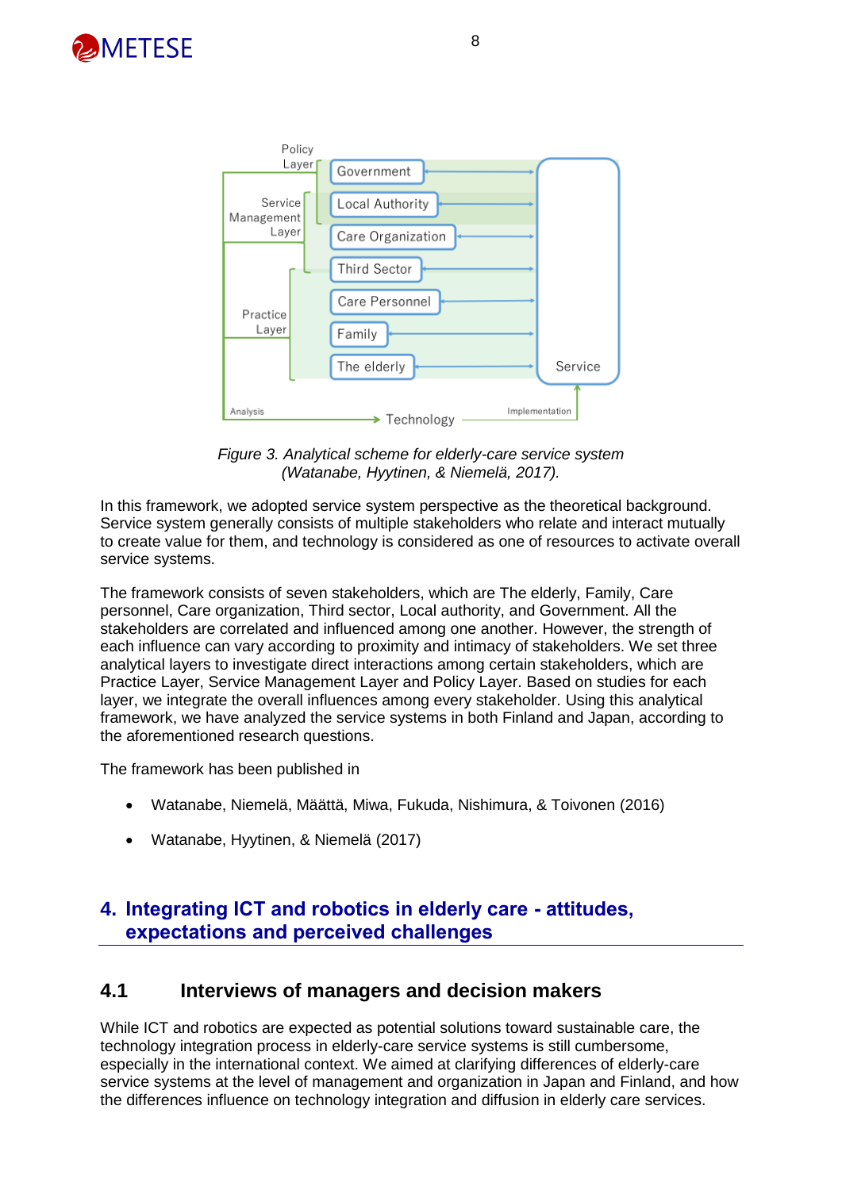



*Figure 3. Analytical scheme for elderly-care service system (Watanabe, Hyytinen, & Niemelä, 2017).*

In this framework, we adopted service system perspective as the theoretical background. Service system generally consists of multiple stakeholders who relate and interact mutually to create value for them, and technology is considered as one of resources to activate overall service systems.

The framework consists of seven stakeholders, which are The elderly, Family, Care personnel, Care organization, Third sector, Local authority, and Government. All the stakeholders are correlated and influenced among one another. However, the strength of each influence can vary according to proximity and intimacy of stakeholders. We set three analytical layers to investigate direct interactions among certain stakeholders, which are Practice Layer, Service Management Layer and Policy Layer. Based on studies for each layer, we integrate the overall influences among every stakeholder. Using this analytical framework, we have analyzed the service systems in both Finland and Japan, according to the aforementioned research questions.

The framework has been published in

- Watanabe, Niemelä, Määttä, Miwa, Fukuda, Nishimura, & Toivonen (2016)
- Watanabe, Hyytinen, & Niemelä (2017)

#### **4. Integrating ICT and robotics in elderly care - attitudes, expectations and perceived challenges**

#### **4.1 Interviews of managers and decision makers**

While ICT and robotics are expected as potential solutions toward sustainable care, the technology integration process in elderly-care service systems is still cumbersome, especially in the international context. We aimed at clarifying differences of elderly-care service systems at the level of management and organization in Japan and Finland, and how the differences influence on technology integration and diffusion in elderly care services.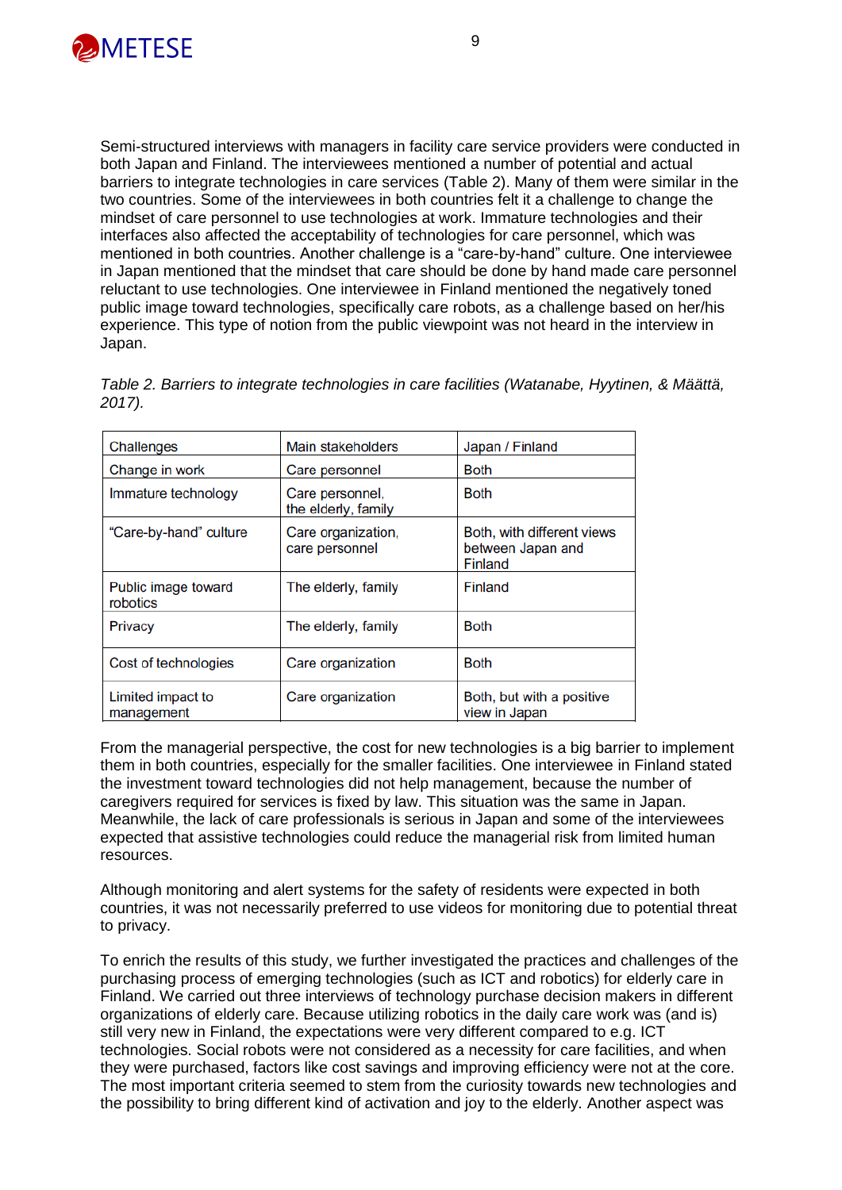

Semi-structured interviews with managers in facility care service providers were conducted in both Japan and Finland. The interviewees mentioned a number of potential and actual barriers to integrate technologies in care services (Table 2). Many of them were similar in the two countries. Some of the interviewees in both countries felt it a challenge to change the mindset of care personnel to use technologies at work. Immature technologies and their interfaces also affected the acceptability of technologies for care personnel, which was mentioned in both countries. Another challenge is a "care-by-hand" culture. One interviewee in Japan mentioned that the mindset that care should be done by hand made care personnel reluctant to use technologies. One interviewee in Finland mentioned the negatively toned public image toward technologies, specifically care robots, as a challenge based on her/his experience. This type of notion from the public viewpoint was not heard in the interview in Japan.

|        | Table 2. Barriers to integrate technologies in care facilities (Watanabe, Hyytinen, & Määttä, |  |  |
|--------|-----------------------------------------------------------------------------------------------|--|--|
| 2017). |                                                                                               |  |  |

| Challenges                      | Main stakeholders                      | Japan / Finland                                                   |
|---------------------------------|----------------------------------------|-------------------------------------------------------------------|
| Change in work                  | Care personnel                         | <b>Both</b>                                                       |
| Immature technology             | Care personnel,<br>the elderly, family | <b>Both</b>                                                       |
| "Care-by-hand" culture          | Care organization,<br>care personnel   | Both, with different views<br>between Japan and<br><b>Finland</b> |
| Public image toward<br>robotics | The elderly, family                    | Finland                                                           |
| Privacy                         | The elderly, family                    | <b>Both</b>                                                       |
| Cost of technologies            | Care organization                      | <b>Both</b>                                                       |
| Limited impact to<br>management | Care organization                      | Both, but with a positive<br>view in Japan                        |

From the managerial perspective, the cost for new technologies is a big barrier to implement them in both countries, especially for the smaller facilities. One interviewee in Finland stated the investment toward technologies did not help management, because the number of caregivers required for services is fixed by law. This situation was the same in Japan. Meanwhile, the lack of care professionals is serious in Japan and some of the interviewees expected that assistive technologies could reduce the managerial risk from limited human resources.

Although monitoring and alert systems for the safety of residents were expected in both countries, it was not necessarily preferred to use videos for monitoring due to potential threat to privacy.

To enrich the results of this study, we further investigated the practices and challenges of the purchasing process of emerging technologies (such as ICT and robotics) for elderly care in Finland. We carried out three interviews of technology purchase decision makers in different organizations of elderly care. Because utilizing robotics in the daily care work was (and is) still very new in Finland, the expectations were very different compared to e.g. ICT technologies. Social robots were not considered as a necessity for care facilities, and when they were purchased, factors like cost savings and improving efficiency were not at the core. The most important criteria seemed to stem from the curiosity towards new technologies and the possibility to bring different kind of activation and joy to the elderly. Another aspect was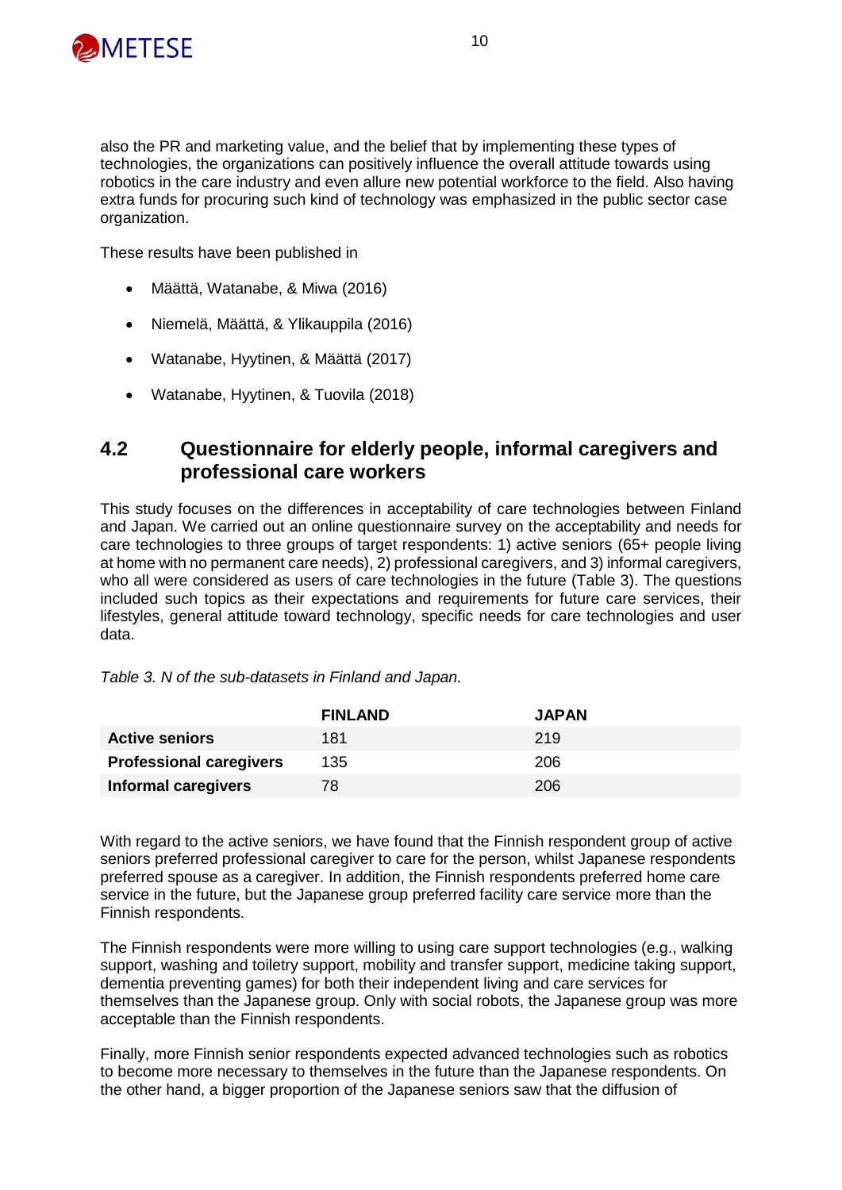

also the PR and marketing value, and the belief that by implementing these types of technologies, the organizations can positively influence the overall attitude towards using robotics in the care industry and even allure new potential workforce to the field. Also having extra funds for procuring such kind of technology was emphasized in the public sector case organization.

These results have been published in

- Määttä, Watanabe, & Miwa (2016)
- Niemelä, Määttä, & Ylikauppila (2016)
- Watanabe, Hyytinen, & Määttä (2017)
- Watanabe, Hyytinen, & Tuovila (2018)

#### **4.2 Questionnaire for elderly people, informal caregivers and professional care workers**

This study focuses on the differences in acceptability of care technologies between Finland and Japan. We carried out an online questionnaire survey on the acceptability and needs for care technologies to three groups of target respondents: 1) active seniors (65+ people living at home with no permanent care needs), 2) professional caregivers, and 3) informal caregivers, who all were considered as users of care technologies in the future (Table 3). The questions included such topics as their expectations and requirements for future care services, their lifestyles, general attitude toward technology, specific needs for care technologies and user data.

|                                | <b>FINLAND</b> | <b>JAPAN</b> |
|--------------------------------|----------------|--------------|
| <b>Active seniors</b>          | 181            | 219          |
| <b>Professional caregivers</b> | 135            | 206          |
| Informal caregivers            | 78             | 206          |

*Table 3. N of the sub-datasets in Finland and Japan.*

With regard to the active seniors, we have found that the Finnish respondent group of active seniors preferred professional caregiver to care for the person, whilst Japanese respondents preferred spouse as a caregiver. In addition, the Finnish respondents preferred home care service in the future, but the Japanese group preferred facility care service more than the Finnish respondents.

The Finnish respondents were more willing to using care support technologies (e.g., walking support, washing and toiletry support, mobility and transfer support, medicine taking support, dementia preventing games) for both their independent living and care services for themselves than the Japanese group. Only with social robots, the Japanese group was more acceptable than the Finnish respondents.

Finally, more Finnish senior respondents expected advanced technologies such as robotics to become more necessary to themselves in the future than the Japanese respondents. On the other hand, a bigger proportion of the Japanese seniors saw that the diffusion of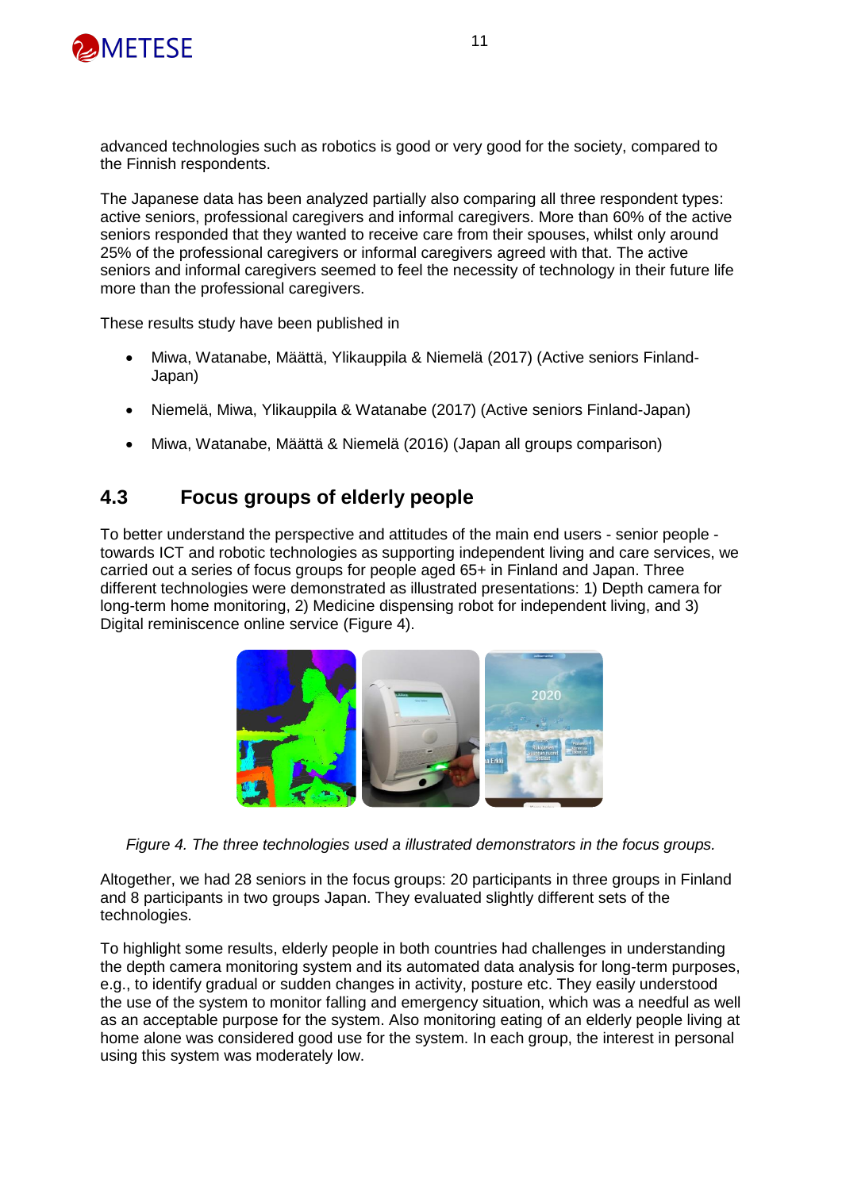

advanced technologies such as robotics is good or very good for the society, compared to the Finnish respondents.

The Japanese data has been analyzed partially also comparing all three respondent types: active seniors, professional caregivers and informal caregivers. More than 60% of the active seniors responded that they wanted to receive care from their spouses, whilst only around 25% of the professional caregivers or informal caregivers agreed with that. The active seniors and informal caregivers seemed to feel the necessity of technology in their future life more than the professional caregivers.

These results study have been published in

- Miwa, Watanabe, Määttä, Ylikauppila & Niemelä (2017) (Active seniors Finland-Japan)
- Niemelä, Miwa, Ylikauppila & Watanabe (2017) (Active seniors Finland-Japan)
- Miwa, Watanabe, Määttä & Niemelä (2016) (Japan all groups comparison)

#### **4.3 Focus groups of elderly people**

To better understand the perspective and attitudes of the main end users - senior people towards ICT and robotic technologies as supporting independent living and care services, we carried out a series of focus groups for people aged 65+ in Finland and Japan. Three different technologies were demonstrated as illustrated presentations: 1) Depth camera for long-term home monitoring, 2) Medicine dispensing robot for independent living, and 3) Digital reminiscence online service (Figure 4).



*Figure 4. The three technologies used a illustrated demonstrators in the focus groups.*

Altogether, we had 28 seniors in the focus groups: 20 participants in three groups in Finland and 8 participants in two groups Japan. They evaluated slightly different sets of the technologies.

To highlight some results, elderly people in both countries had challenges in understanding the depth camera monitoring system and its automated data analysis for long-term purposes, e.g., to identify gradual or sudden changes in activity, posture etc. They easily understood the use of the system to monitor falling and emergency situation, which was a needful as well as an acceptable purpose for the system. Also monitoring eating of an elderly people living at home alone was considered good use for the system. In each group, the interest in personal using this system was moderately low.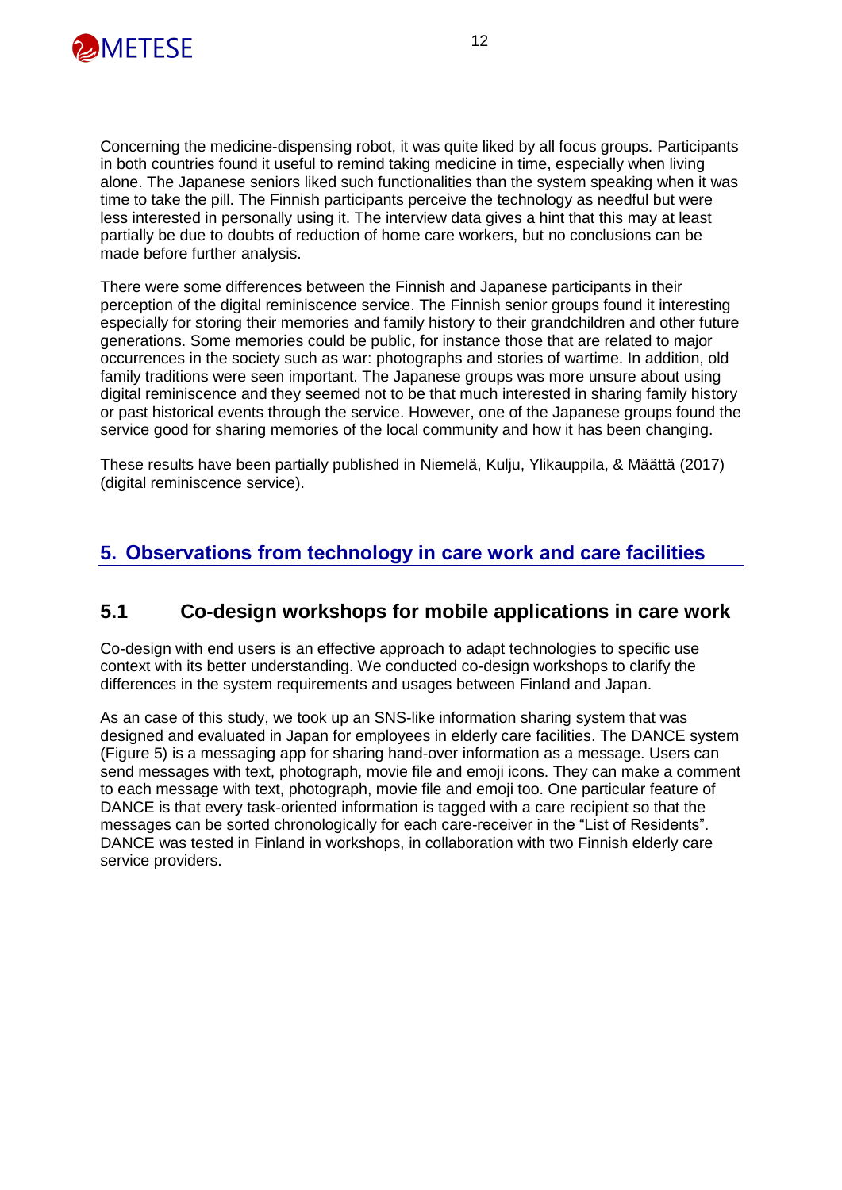

Concerning the medicine-dispensing robot, it was quite liked by all focus groups. Participants in both countries found it useful to remind taking medicine in time, especially when living alone. The Japanese seniors liked such functionalities than the system speaking when it was time to take the pill. The Finnish participants perceive the technology as needful but were less interested in personally using it. The interview data gives a hint that this may at least partially be due to doubts of reduction of home care workers, but no conclusions can be made before further analysis.

There were some differences between the Finnish and Japanese participants in their perception of the digital reminiscence service. The Finnish senior groups found it interesting especially for storing their memories and family history to their grandchildren and other future generations. Some memories could be public, for instance those that are related to major occurrences in the society such as war: photographs and stories of wartime. In addition, old family traditions were seen important. The Japanese groups was more unsure about using digital reminiscence and they seemed not to be that much interested in sharing family history or past historical events through the service. However, one of the Japanese groups found the service good for sharing memories of the local community and how it has been changing.

These results have been partially published in Niemelä, Kulju, Ylikauppila, & Määttä (2017) (digital reminiscence service).

#### **5. Observations from technology in care work and care facilities**

#### **5.1 Co-design workshops for mobile applications in care work**

Co-design with end users is an effective approach to adapt technologies to specific use context with its better understanding. We conducted co-design workshops to clarify the differences in the system requirements and usages between Finland and Japan.

As an case of this study, we took up an SNS-like information sharing system that was designed and evaluated in Japan for employees in elderly care facilities. The DANCE system (Figure 5) is a messaging app for sharing hand-over information as a message. Users can send messages with text, photograph, movie file and emoji icons. They can make a comment to each message with text, photograph, movie file and emoji too. One particular feature of DANCE is that every task-oriented information is tagged with a care recipient so that the messages can be sorted chronologically for each care-receiver in the "List of Residents". DANCE was tested in Finland in workshops, in collaboration with two Finnish elderly care service providers.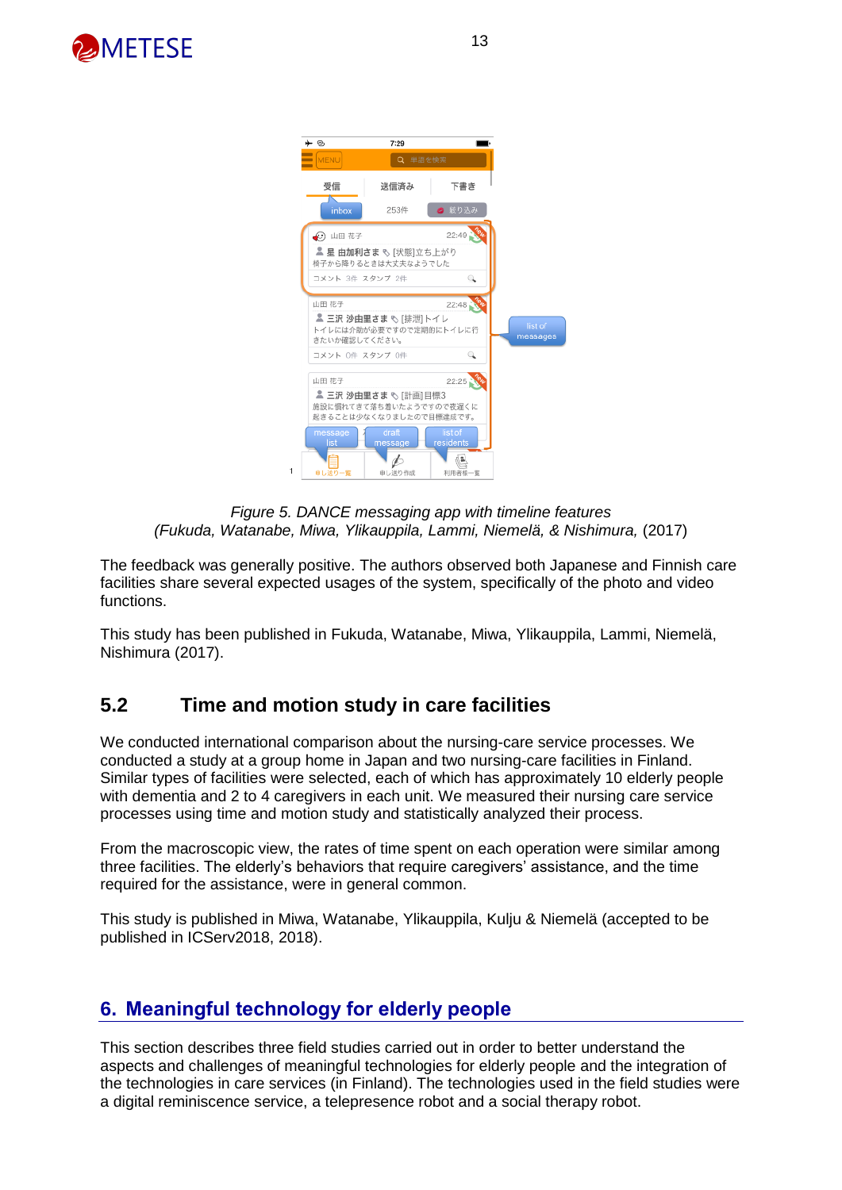



*Figure 5. DANCE messaging app with timeline features (Fukuda, Watanabe, Miwa, Ylikauppila, Lammi, Niemelä, & Nishimura,* (2017)

The feedback was generally positive. The authors observed both Japanese and Finnish care facilities share several expected usages of the system, specifically of the photo and video functions.

This study has been published in Fukuda, Watanabe, Miwa, Ylikauppila, Lammi, Niemelä, Nishimura (2017).

#### **5.2 Time and motion study in care facilities**

We conducted international comparison about the nursing-care service processes. We conducted a study at a group home in Japan and two nursing-care facilities in Finland. Similar types of facilities were selected, each of which has approximately 10 elderly people with dementia and 2 to 4 caregivers in each unit. We measured their nursing care service processes using time and motion study and statistically analyzed their process.

From the macroscopic view, the rates of time spent on each operation were similar among three facilities. The elderly's behaviors that require caregivers' assistance, and the time required for the assistance, were in general common.

This study is published in Miwa, Watanabe, Ylikauppila, Kulju & Niemelä (accepted to be published in ICServ2018, 2018).

#### **6. Meaningful technology for elderly people**

This section describes three field studies carried out in order to better understand the aspects and challenges of meaningful technologies for elderly people and the integration of the technologies in care services (in Finland). The technologies used in the field studies were a digital reminiscence service, a telepresence robot and a social therapy robot.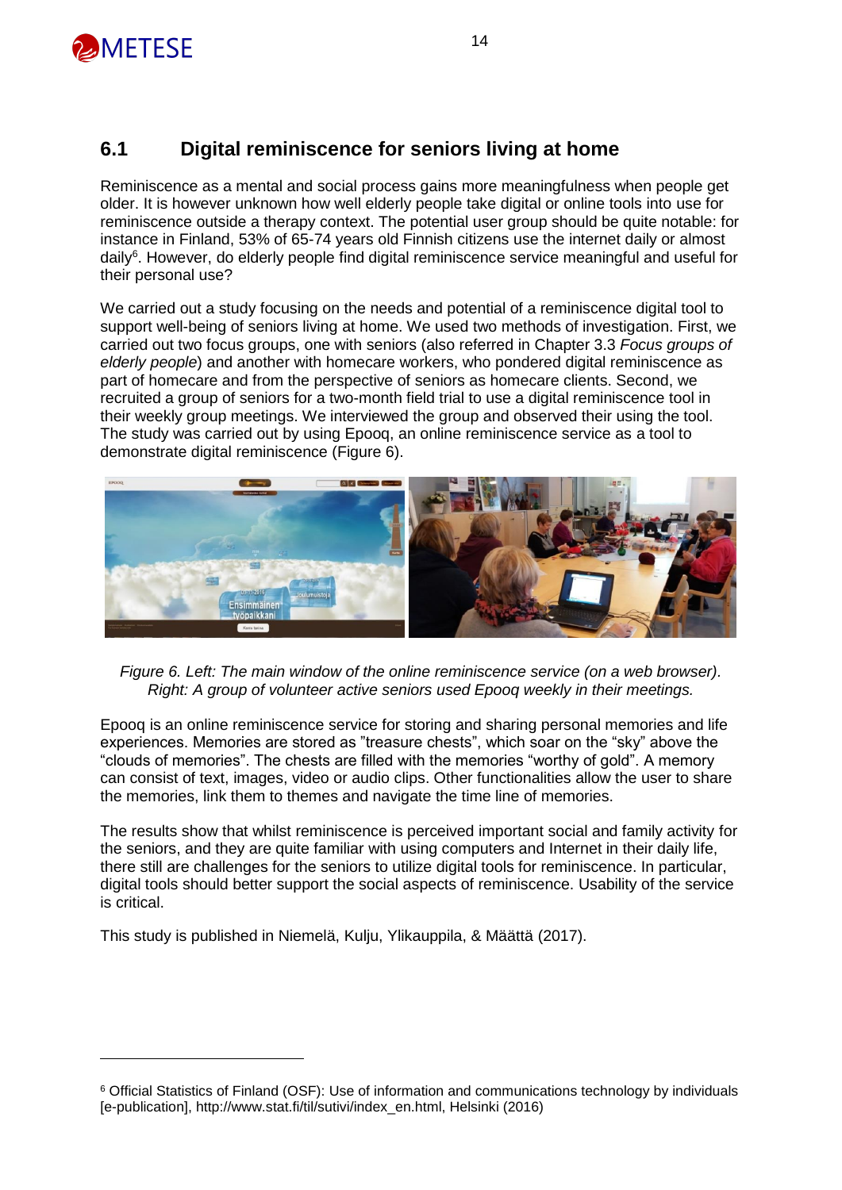

#### **6.1 Digital reminiscence for seniors living at home**

Reminiscence as a mental and social process gains more meaningfulness when people get older. It is however unknown how well elderly people take digital or online tools into use for reminiscence outside a therapy context. The potential user group should be quite notable: for instance in Finland, 53% of 65-74 years old Finnish citizens use the internet daily or almost daily<sup>6</sup>. However, do elderly people find digital reminiscence service meaningful and useful for their personal use?

We carried out a study focusing on the needs and potential of a reminiscence digital tool to support well-being of seniors living at home. We used two methods of investigation. First, we carried out two focus groups, one with seniors (also referred in Chapter 3.3 *Focus groups of elderly people*) and another with homecare workers, who pondered digital reminiscence as part of homecare and from the perspective of seniors as homecare clients. Second, we recruited a group of seniors for a two-month field trial to use a digital reminiscence tool in their weekly group meetings. We interviewed the group and observed their using the tool. The study was carried out by using Epooq, an online reminiscence service as a tool to demonstrate digital reminiscence (Figure 6).



*Figure 6. Left: The main window of the online reminiscence service (on a web browser). Right: A group of volunteer active seniors used Epooq weekly in their meetings.*

Epooq is an online reminiscence service for storing and sharing personal memories and life experiences. Memories are stored as "treasure chests", which soar on the "sky" above the "clouds of memories". The chests are filled with the memories "worthy of gold". A memory can consist of text, images, video or audio clips. Other functionalities allow the user to share the memories, link them to themes and navigate the time line of memories.

The results show that whilst reminiscence is perceived important social and family activity for the seniors, and they are quite familiar with using computers and Internet in their daily life, there still are challenges for the seniors to utilize digital tools for reminiscence. In particular, digital tools should better support the social aspects of reminiscence. Usability of the service is critical.

This study is published in Niemelä, Kulju, Ylikauppila, & Määttä (2017).

<sup>6</sup> Official Statistics of Finland (OSF): Use of information and communications technology by individuals [e-publication], http://www.stat.fi/til/sutivi/index\_en.html, Helsinki (2016)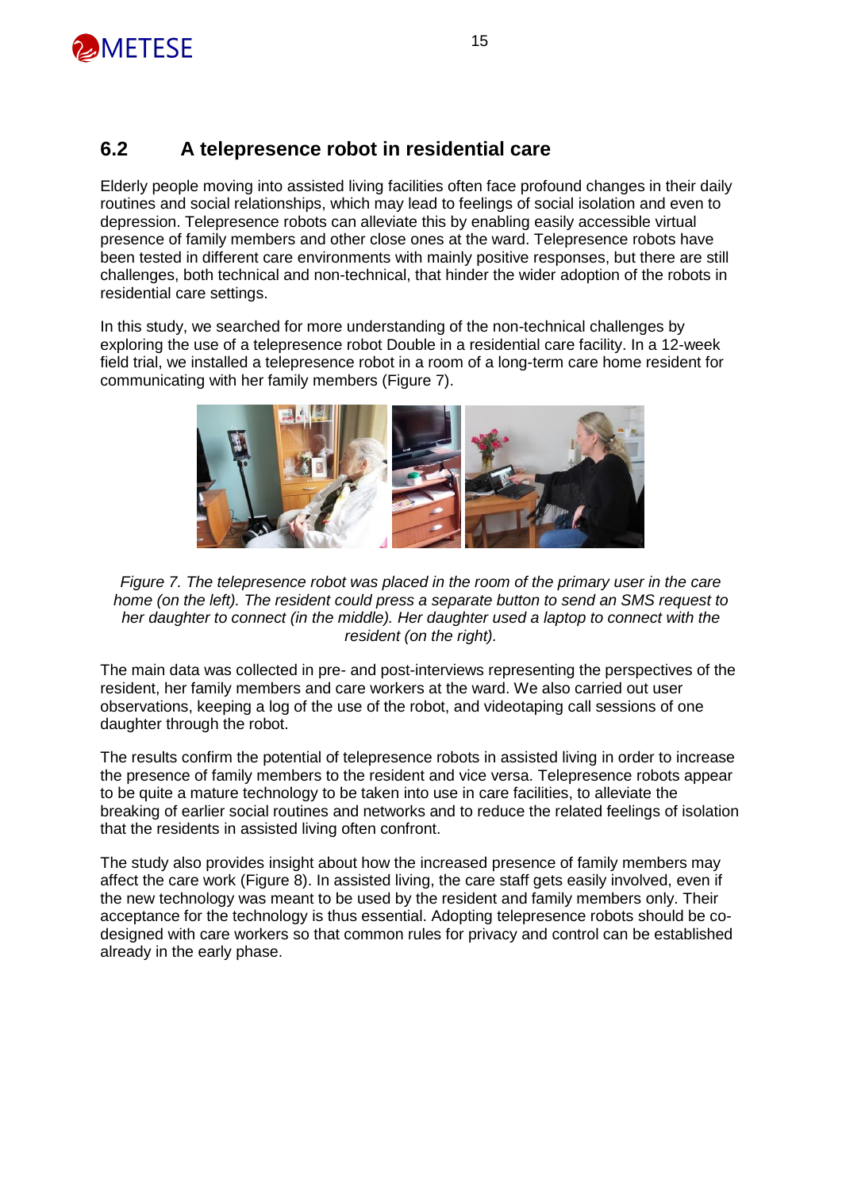

#### **6.2 A telepresence robot in residential care**

Elderly people moving into assisted living facilities often face profound changes in their daily routines and social relationships, which may lead to feelings of social isolation and even to depression. Telepresence robots can alleviate this by enabling easily accessible virtual presence of family members and other close ones at the ward. Telepresence robots have been tested in different care environments with mainly positive responses, but there are still challenges, both technical and non-technical, that hinder the wider adoption of the robots in residential care settings.

In this study, we searched for more understanding of the non-technical challenges by exploring the use of a telepresence robot Double in a residential care facility. In a 12-week field trial, we installed a telepresence robot in a room of a long-term care home resident for communicating with her family members (Figure 7).



*Figure 7. The telepresence robot was placed in the room of the primary user in the care home (on the left). The resident could press a separate button to send an SMS request to her daughter to connect (in the middle). Her daughter used a laptop to connect with the resident (on the right).*

The main data was collected in pre- and post-interviews representing the perspectives of the resident, her family members and care workers at the ward. We also carried out user observations, keeping a log of the use of the robot, and videotaping call sessions of one daughter through the robot.

The results confirm the potential of telepresence robots in assisted living in order to increase the presence of family members to the resident and vice versa. Telepresence robots appear to be quite a mature technology to be taken into use in care facilities, to alleviate the breaking of earlier social routines and networks and to reduce the related feelings of isolation that the residents in assisted living often confront.

The study also provides insight about how the increased presence of family members may affect the care work (Figure 8). In assisted living, the care staff gets easily involved, even if the new technology was meant to be used by the resident and family members only. Their acceptance for the technology is thus essential. Adopting telepresence robots should be codesigned with care workers so that common rules for privacy and control can be established already in the early phase.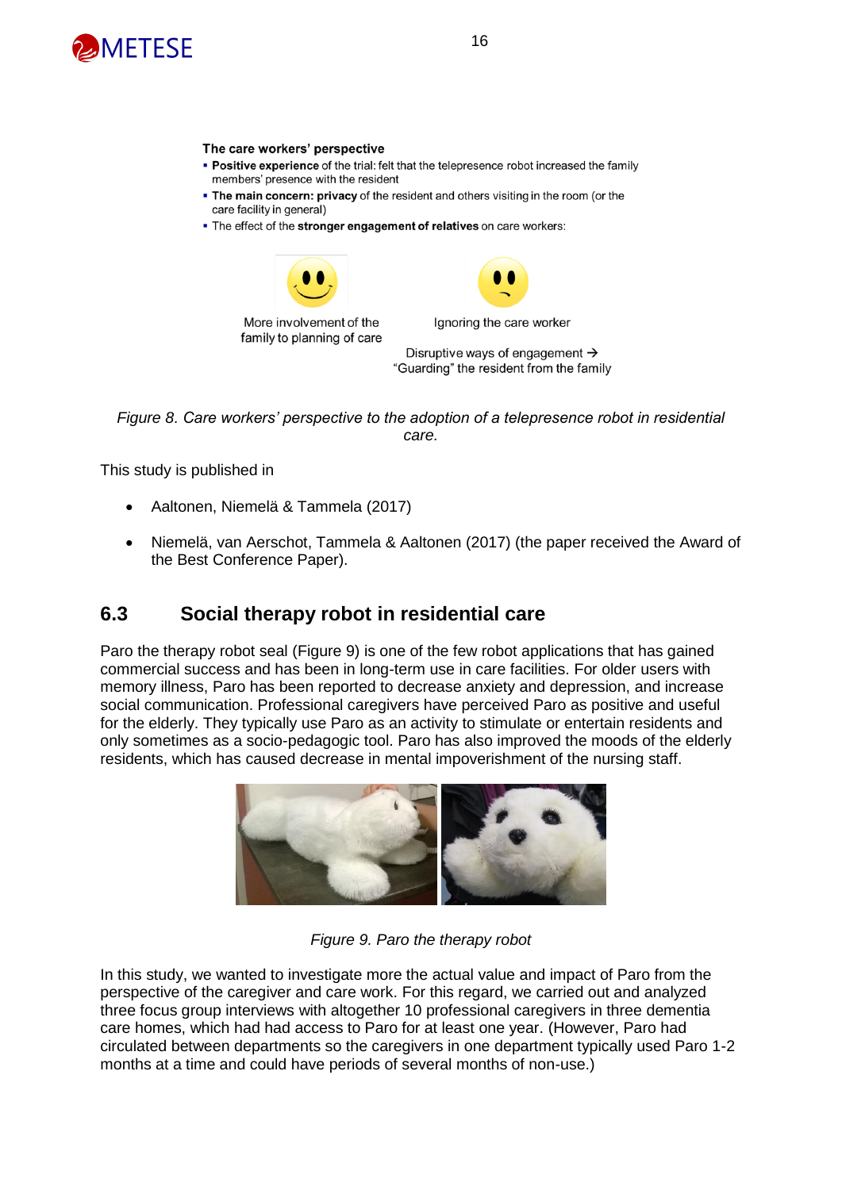

#### The care workers' perspective

- . Positive experience of the trial: felt that the telepresence robot increased the family members' presence with the resident
- . The main concern: privacy of the resident and others visiting in the room (or the care facility in general)
- . The effect of the stronger engagement of relatives on care workers:



*Figure 8. Care workers' perspective to the adoption of a telepresence robot in residential care.*

This study is published in

- Aaltonen, Niemelä & Tammela (2017)
- Niemelä, van Aerschot, Tammela & Aaltonen (2017) (the paper received the Award of the Best Conference Paper).

#### **6.3 Social therapy robot in residential care**

Paro the therapy robot seal (Figure 9) is one of the few robot applications that has gained commercial success and has been in long-term use in care facilities. For older users with memory illness, Paro has been reported to decrease anxiety and depression, and increase social communication. Professional caregivers have perceived Paro as positive and useful for the elderly. They typically use Paro as an activity to stimulate or entertain residents and only sometimes as a socio-pedagogic tool. Paro has also improved the moods of the elderly residents, which has caused decrease in mental impoverishment of the nursing staff.



*Figure 9. Paro the therapy robot*

In this study, we wanted to investigate more the actual value and impact of Paro from the perspective of the caregiver and care work. For this regard, we carried out and analyzed three focus group interviews with altogether 10 professional caregivers in three dementia care homes, which had had access to Paro for at least one year. (However, Paro had circulated between departments so the caregivers in one department typically used Paro 1-2 months at a time and could have periods of several months of non-use.)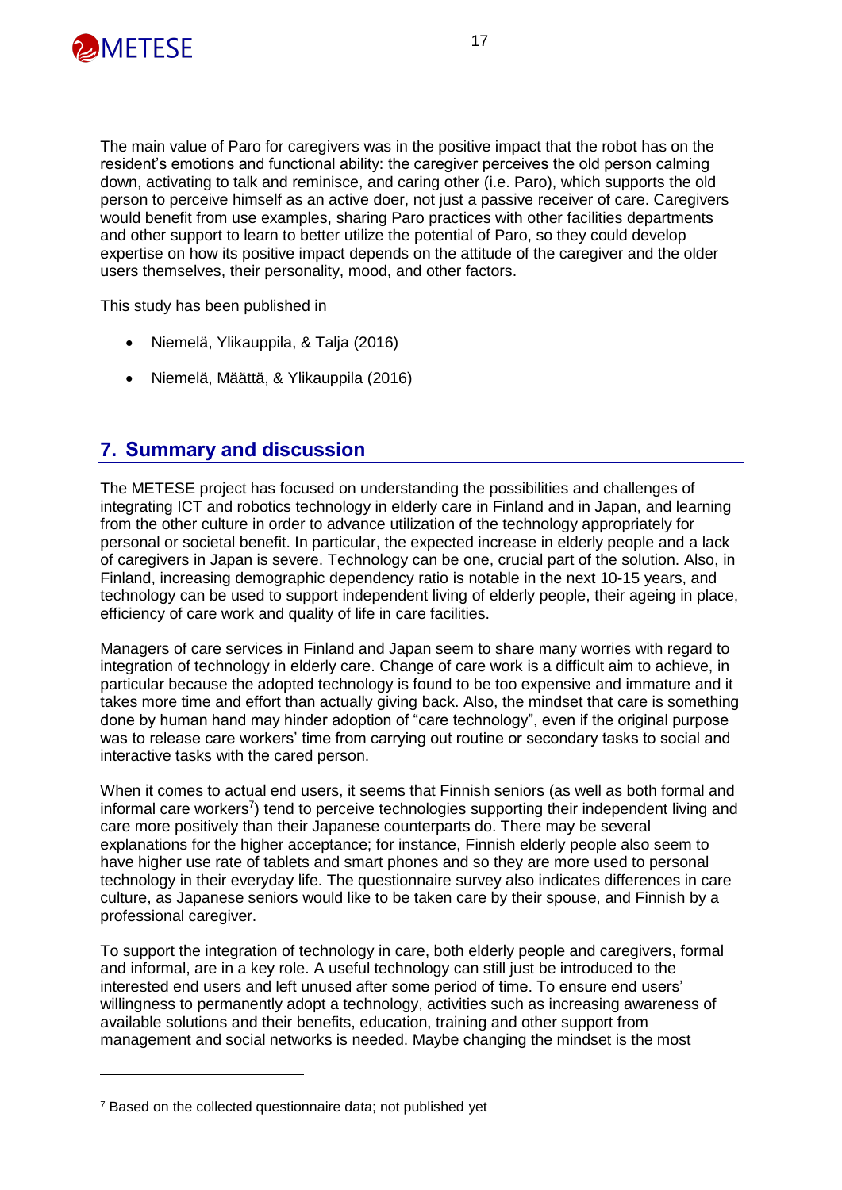

The main value of Paro for caregivers was in the positive impact that the robot has on the resident's emotions and functional ability: the caregiver perceives the old person calming down, activating to talk and reminisce, and caring other (i.e. Paro), which supports the old person to perceive himself as an active doer, not just a passive receiver of care. Caregivers would benefit from use examples, sharing Paro practices with other facilities departments and other support to learn to better utilize the potential of Paro, so they could develop expertise on how its positive impact depends on the attitude of the caregiver and the older users themselves, their personality, mood, and other factors.

This study has been published in

- Niemelä, Ylikauppila, & Talja (2016)
- Niemelä, Määttä, & Ylikauppila (2016)

#### **7. Summary and discussion**

The METESE project has focused on understanding the possibilities and challenges of integrating ICT and robotics technology in elderly care in Finland and in Japan, and learning from the other culture in order to advance utilization of the technology appropriately for personal or societal benefit. In particular, the expected increase in elderly people and a lack of caregivers in Japan is severe. Technology can be one, crucial part of the solution. Also, in Finland, increasing demographic dependency ratio is notable in the next 10-15 years, and technology can be used to support independent living of elderly people, their ageing in place, efficiency of care work and quality of life in care facilities.

Managers of care services in Finland and Japan seem to share many worries with regard to integration of technology in elderly care. Change of care work is a difficult aim to achieve, in particular because the adopted technology is found to be too expensive and immature and it takes more time and effort than actually giving back. Also, the mindset that care is something done by human hand may hinder adoption of "care technology", even if the original purpose was to release care workers' time from carrying out routine or secondary tasks to social and interactive tasks with the cared person.

When it comes to actual end users, it seems that Finnish seniors (as well as both formal and informal care workers<sup>7</sup>) tend to perceive technologies supporting their independent living and care more positively than their Japanese counterparts do. There may be several explanations for the higher acceptance; for instance, Finnish elderly people also seem to have higher use rate of tablets and smart phones and so they are more used to personal technology in their everyday life. The questionnaire survey also indicates differences in care culture, as Japanese seniors would like to be taken care by their spouse, and Finnish by a professional caregiver.

To support the integration of technology in care, both elderly people and caregivers, formal and informal, are in a key role. A useful technology can still just be introduced to the interested end users and left unused after some period of time. To ensure end users' willingness to permanently adopt a technology, activities such as increasing awareness of available solutions and their benefits, education, training and other support from management and social networks is needed. Maybe changing the mindset is the most

<sup>&</sup>lt;sup>7</sup> Based on the collected questionnaire data; not published yet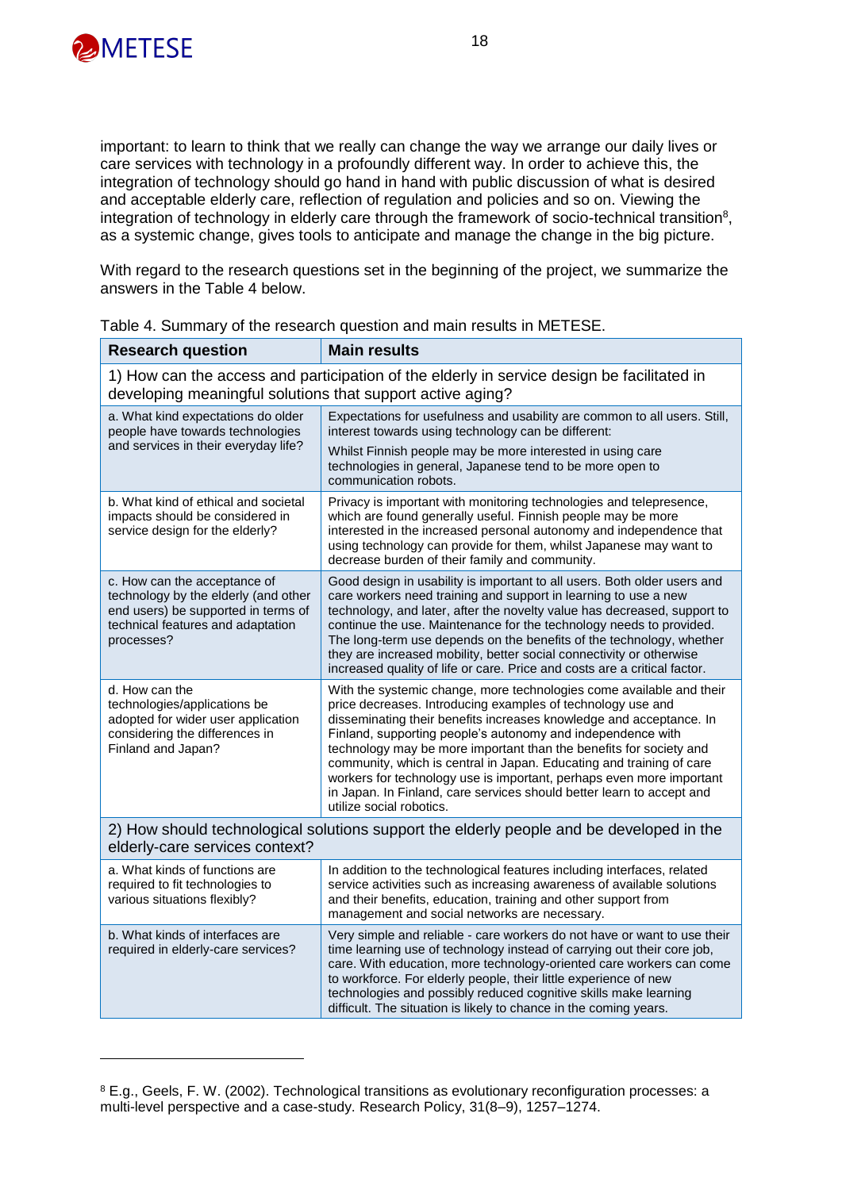

important: to learn to think that we really can change the way we arrange our daily lives or care services with technology in a profoundly different way. In order to achieve this, the integration of technology should go hand in hand with public discussion of what is desired and acceptable elderly care, reflection of regulation and policies and so on. Viewing the integration of technology in elderly care through the framework of socio-technical transition<sup>8</sup>, as a systemic change, gives tools to anticipate and manage the change in the big picture.

With regard to the research questions set in the beginning of the project, we summarize the answers in the Table 4 below.

| <b>Research question</b>                                                                                                                                       | <b>Main results</b>                                                                                                                                                                                                                                                                                                                                                                                                                                                                                                                                                                                  |  |  |  |
|----------------------------------------------------------------------------------------------------------------------------------------------------------------|------------------------------------------------------------------------------------------------------------------------------------------------------------------------------------------------------------------------------------------------------------------------------------------------------------------------------------------------------------------------------------------------------------------------------------------------------------------------------------------------------------------------------------------------------------------------------------------------------|--|--|--|
| 1) How can the access and participation of the elderly in service design be facilitated in<br>developing meaningful solutions that support active aging?       |                                                                                                                                                                                                                                                                                                                                                                                                                                                                                                                                                                                                      |  |  |  |
| a. What kind expectations do older<br>people have towards technologies                                                                                         | Expectations for usefulness and usability are common to all users. Still,<br>interest towards using technology can be different:                                                                                                                                                                                                                                                                                                                                                                                                                                                                     |  |  |  |
| and services in their everyday life?                                                                                                                           | Whilst Finnish people may be more interested in using care<br>technologies in general, Japanese tend to be more open to<br>communication robots.                                                                                                                                                                                                                                                                                                                                                                                                                                                     |  |  |  |
| b. What kind of ethical and societal<br>impacts should be considered in<br>service design for the elderly?                                                     | Privacy is important with monitoring technologies and telepresence,<br>which are found generally useful. Finnish people may be more<br>interested in the increased personal autonomy and independence that<br>using technology can provide for them, whilst Japanese may want to<br>decrease burden of their family and community.                                                                                                                                                                                                                                                                   |  |  |  |
| c. How can the acceptance of<br>technology by the elderly (and other<br>end users) be supported in terms of<br>technical features and adaptation<br>processes? | Good design in usability is important to all users. Both older users and<br>care workers need training and support in learning to use a new<br>technology, and later, after the novelty value has decreased, support to<br>continue the use. Maintenance for the technology needs to provided.<br>The long-term use depends on the benefits of the technology, whether<br>they are increased mobility, better social connectivity or otherwise<br>increased quality of life or care. Price and costs are a critical factor.                                                                          |  |  |  |
| d. How can the<br>technologies/applications be<br>adopted for wider user application<br>considering the differences in<br>Finland and Japan?                   | With the systemic change, more technologies come available and their<br>price decreases. Introducing examples of technology use and<br>disseminating their benefits increases knowledge and acceptance. In<br>Finland, supporting people's autonomy and independence with<br>technology may be more important than the benefits for society and<br>community, which is central in Japan. Educating and training of care<br>workers for technology use is important, perhaps even more important<br>in Japan. In Finland, care services should better learn to accept and<br>utilize social robotics. |  |  |  |
| 2) How should technological solutions support the elderly people and be developed in the<br>elderly-care services context?                                     |                                                                                                                                                                                                                                                                                                                                                                                                                                                                                                                                                                                                      |  |  |  |
| a. What kinds of functions are<br>required to fit technologies to<br>various situations flexibly?                                                              | In addition to the technological features including interfaces, related<br>service activities such as increasing awareness of available solutions<br>and their benefits, education, training and other support from<br>management and social networks are necessary.                                                                                                                                                                                                                                                                                                                                 |  |  |  |
| b. What kinds of interfaces are<br>required in elderly-care services?                                                                                          | Very simple and reliable - care workers do not have or want to use their<br>time learning use of technology instead of carrying out their core job,<br>care. With education, more technology-oriented care workers can come<br>to workforce. For elderly people, their little experience of new<br>technologies and possibly reduced cognitive skills make learning<br>difficult. The situation is likely to chance in the coming years.                                                                                                                                                             |  |  |  |

Table 4. Summary of the research question and main results in METESE.

<sup>8</sup> E.g., Geels, F. W. (2002). Technological transitions as evolutionary reconfiguration processes: a multi-level perspective and a case-study. Research Policy, 31(8–9), 1257–1274.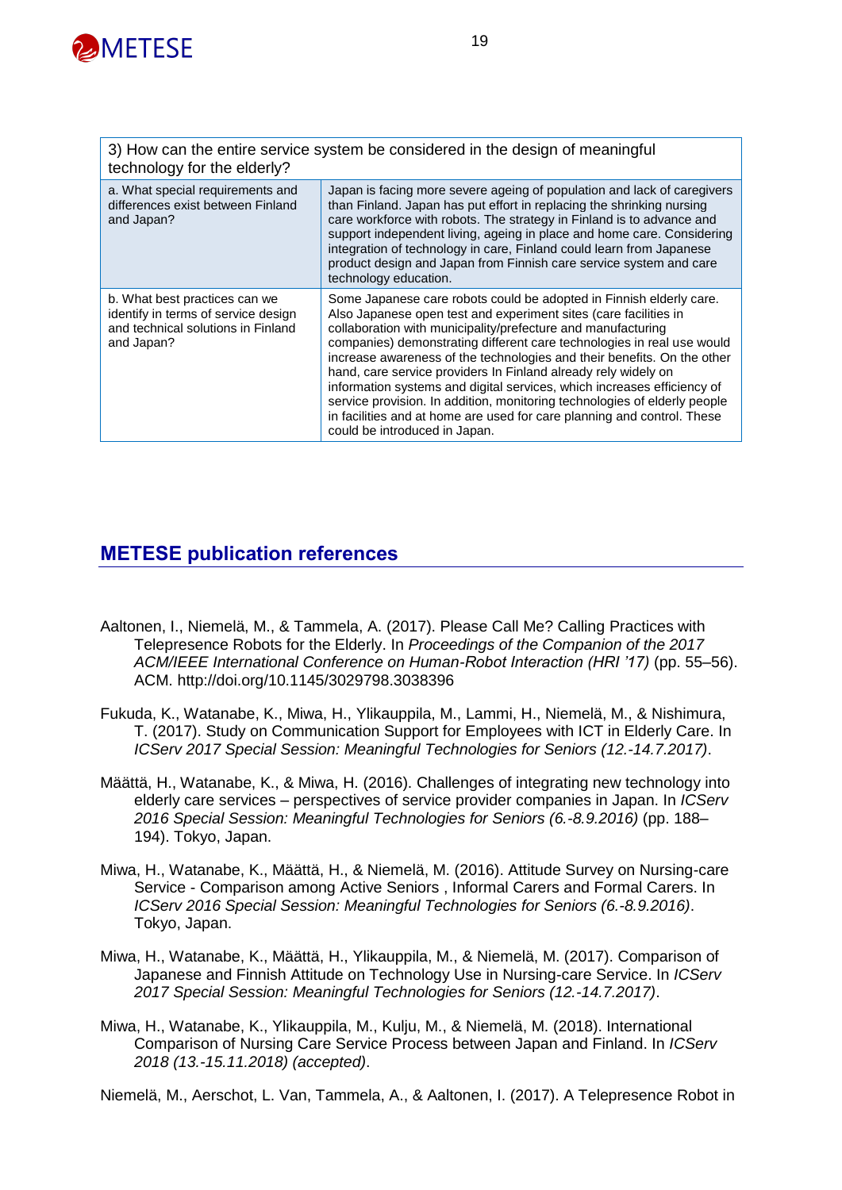

| 3) How can the entire service system be considered in the design of meaningful<br>technology for the elderly?            |                                                                                                                                                                                                                                                                                                                                                                                                                                                                                                                                                                                                                                                                                                    |  |  |
|--------------------------------------------------------------------------------------------------------------------------|----------------------------------------------------------------------------------------------------------------------------------------------------------------------------------------------------------------------------------------------------------------------------------------------------------------------------------------------------------------------------------------------------------------------------------------------------------------------------------------------------------------------------------------------------------------------------------------------------------------------------------------------------------------------------------------------------|--|--|
| a. What special requirements and<br>differences exist between Finland<br>and Japan?                                      | Japan is facing more severe ageing of population and lack of caregivers<br>than Finland. Japan has put effort in replacing the shrinking nursing<br>care workforce with robots. The strategy in Finland is to advance and<br>support independent living, ageing in place and home care. Considering<br>integration of technology in care, Finland could learn from Japanese<br>product design and Japan from Finnish care service system and care<br>technology education.                                                                                                                                                                                                                         |  |  |
| b. What best practices can we<br>identify in terms of service design<br>and technical solutions in Finland<br>and Japan? | Some Japanese care robots could be adopted in Finnish elderly care.<br>Also Japanese open test and experiment sites (care facilities in<br>collaboration with municipality/prefecture and manufacturing<br>companies) demonstrating different care technologies in real use would<br>increase awareness of the technologies and their benefits. On the other<br>hand, care service providers In Finland already rely widely on<br>information systems and digital services, which increases efficiency of<br>service provision. In addition, monitoring technologies of elderly people<br>in facilities and at home are used for care planning and control. These<br>could be introduced in Japan. |  |  |

#### **METESE publication references**

- Aaltonen, I., Niemelä, M., & Tammela, A. (2017). Please Call Me? Calling Practices with Telepresence Robots for the Elderly. In *Proceedings of the Companion of the 2017 ACM/IEEE International Conference on Human-Robot Interaction (HRI '17)* (pp. 55–56). ACM. http://doi.org/10.1145/3029798.3038396
- Fukuda, K., Watanabe, K., Miwa, H., Ylikauppila, M., Lammi, H., Niemelä, M., & Nishimura, T. (2017). Study on Communication Support for Employees with ICT in Elderly Care. In *ICServ 2017 Special Session: Meaningful Technologies for Seniors (12.-14.7.2017)*.
- Määttä, H., Watanabe, K., & Miwa, H. (2016). Challenges of integrating new technology into elderly care services – perspectives of service provider companies in Japan. In *ICServ 2016 Special Session: Meaningful Technologies for Seniors (6.-8.9.2016)* (pp. 188– 194). Tokyo, Japan.
- Miwa, H., Watanabe, K., Määttä, H., & Niemelä, M. (2016). Attitude Survey on Nursing-care Service - Comparison among Active Seniors , Informal Carers and Formal Carers. In *ICServ 2016 Special Session: Meaningful Technologies for Seniors (6.-8.9.2016)*. Tokyo, Japan.
- Miwa, H., Watanabe, K., Määttä, H., Ylikauppila, M., & Niemelä, M. (2017). Comparison of Japanese and Finnish Attitude on Technology Use in Nursing-care Service. In *ICServ 2017 Special Session: Meaningful Technologies for Seniors (12.-14.7.2017)*.
- Miwa, H., Watanabe, K., Ylikauppila, M., Kulju, M., & Niemelä, M. (2018). International Comparison of Nursing Care Service Process between Japan and Finland. In *ICServ 2018 (13.-15.11.2018) (accepted)*.

Niemelä, M., Aerschot, L. Van, Tammela, A., & Aaltonen, I. (2017). A Telepresence Robot in